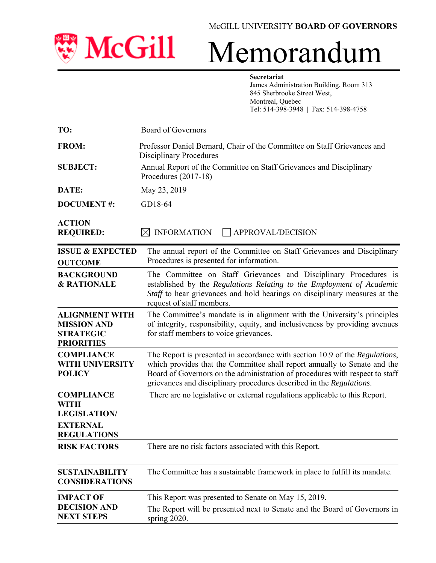

## **Secretariat** James Administration Building, Room 313 845 Sherbrooke Street West, Montreal, Quebec Tel: 514-398-3948 **|** Fax: 514-398-4758

| TO:                                                                                              | <b>Board of Governors</b>                                                                                                                                                                                                                                                                                        |
|--------------------------------------------------------------------------------------------------|------------------------------------------------------------------------------------------------------------------------------------------------------------------------------------------------------------------------------------------------------------------------------------------------------------------|
| <b>FROM:</b>                                                                                     | Professor Daniel Bernard, Chair of the Committee on Staff Grievances and<br><b>Disciplinary Procedures</b>                                                                                                                                                                                                       |
| <b>SUBJECT:</b>                                                                                  | Annual Report of the Committee on Staff Grievances and Disciplinary<br>Procedures $(2017-18)$                                                                                                                                                                                                                    |
| DATE:                                                                                            | May 23, 2019                                                                                                                                                                                                                                                                                                     |
| <b>DOCUMENT#:</b>                                                                                | GD18-64                                                                                                                                                                                                                                                                                                          |
| <b>ACTION</b><br><b>REQUIRED:</b>                                                                | <b>INFORMATION</b><br>APPROVAL/DECISION<br>$\bowtie$                                                                                                                                                                                                                                                             |
| <b>ISSUE &amp; EXPECTED</b><br><b>OUTCOME</b>                                                    | The annual report of the Committee on Staff Grievances and Disciplinary<br>Procedures is presented for information.                                                                                                                                                                                              |
| <b>BACKGROUND</b><br><b>&amp; RATIONALE</b>                                                      | The Committee on Staff Grievances and Disciplinary Procedures is<br>established by the Regulations Relating to the Employment of Academic<br>Staff to hear grievances and hold hearings on disciplinary measures at the<br>request of staff members.                                                             |
| <b>ALIGNMENT WITH</b><br><b>MISSION AND</b><br><b>STRATEGIC</b><br><b>PRIORITIES</b>             | The Committee's mandate is in alignment with the University's principles<br>of integrity, responsibility, equity, and inclusiveness by providing avenues<br>for staff members to voice grievances.                                                                                                               |
| <b>COMPLIANCE</b><br><b>WITH UNIVERSITY</b><br><b>POLICY</b>                                     | The Report is presented in accordance with section 10.9 of the Regulations,<br>which provides that the Committee shall report annually to Senate and the<br>Board of Governors on the administration of procedures with respect to staff<br>grievances and disciplinary procedures described in the Regulations. |
| <b>COMPLIANCE</b><br><b>WITH</b><br><b>LEGISLATION/</b><br><b>EXTERNAL</b><br><b>REGULATIONS</b> | There are no legislative or external regulations applicable to this Report.                                                                                                                                                                                                                                      |
| <b>RISK FACTORS</b>                                                                              | There are no risk factors associated with this Report.                                                                                                                                                                                                                                                           |
| <b>SUSTAINABILITY</b><br><b>CONSIDERATIONS</b>                                                   | The Committee has a sustainable framework in place to fulfill its mandate.                                                                                                                                                                                                                                       |
| <b>IMPACT OF</b>                                                                                 | This Report was presented to Senate on May 15, 2019.                                                                                                                                                                                                                                                             |
| <b>DECISION AND</b><br><b>NEXT STEPS</b>                                                         | The Report will be presented next to Senate and the Board of Governors in<br>spring 2020.                                                                                                                                                                                                                        |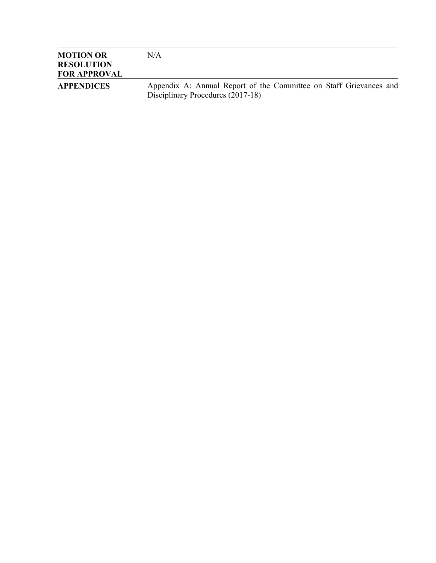| <b>MOTION OR</b><br><b>RESOLUTION</b> | N/A                                                                                                     |
|---------------------------------------|---------------------------------------------------------------------------------------------------------|
| <b>FOR APPROVAL</b>                   |                                                                                                         |
| <b>APPENDICES</b>                     | Appendix A: Annual Report of the Committee on Staff Grievances and<br>Disciplinary Procedures (2017-18) |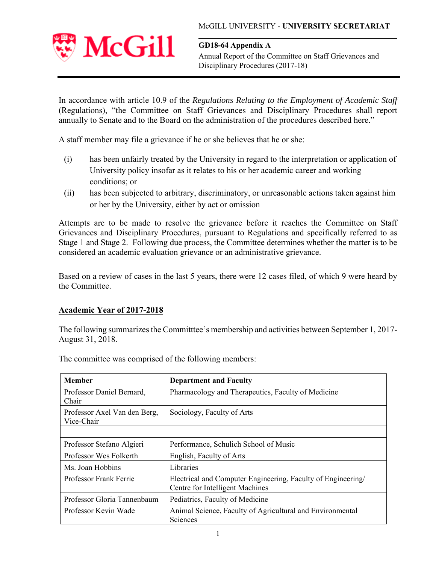

**GD18-64 Appendix A**  Annual Report of the Committee on Staff Grievances and Disciplinary Procedures (2017-18)

In accordance with article 10.9 of the *Regulations Relating to the Employment of Academic Staff*  (Regulations), "the Committee on Staff Grievances and Disciplinary Procedures shall report annually to Senate and to the Board on the administration of the procedures described here."

A staff member may file a grievance if he or she believes that he or she:

- (i) has been unfairly treated by the University in regard to the interpretation or application of University policy insofar as it relates to his or her academic career and working conditions; or
- (ii) has been subjected to arbitrary, discriminatory, or unreasonable actions taken against him or her by the University, either by act or omission

Attempts are to be made to resolve the grievance before it reaches the Committee on Staff Grievances and Disciplinary Procedures, pursuant to Regulations and specifically referred to as Stage 1 and Stage 2. Following due process, the Committee determines whether the matter is to be considered an academic evaluation grievance or an administrative grievance.

Based on a review of cases in the last 5 years, there were 12 cases filed, of which 9 were heard by the Committee.

## **Academic Year of 2017-2018**

The following summarizes the Committtee's membership and activities between September 1, 2017- August 31, 2018.

| <b>Member</b>                              | <b>Department and Faculty</b>                                                                   |
|--------------------------------------------|-------------------------------------------------------------------------------------------------|
| Professor Daniel Bernard,<br>Chair         | Pharmacology and Therapeutics, Faculty of Medicine                                              |
| Professor Axel Van den Berg,<br>Vice-Chair | Sociology, Faculty of Arts                                                                      |
|                                            |                                                                                                 |
| Professor Stefano Algieri                  | Performance, Schulich School of Music                                                           |
| Professor Wes Folkerth                     | English, Faculty of Arts                                                                        |
| Ms. Joan Hobbins                           | Libraries                                                                                       |
| Professor Frank Ferrie                     | Electrical and Computer Engineering, Faculty of Engineering/<br>Centre for Intelligent Machines |
| Professor Gloria Tannenbaum                | Pediatrics, Faculty of Medicine                                                                 |
| Professor Kevin Wade                       | Animal Science, Faculty of Agricultural and Environmental<br>Sciences                           |

The committee was comprised of the following members: